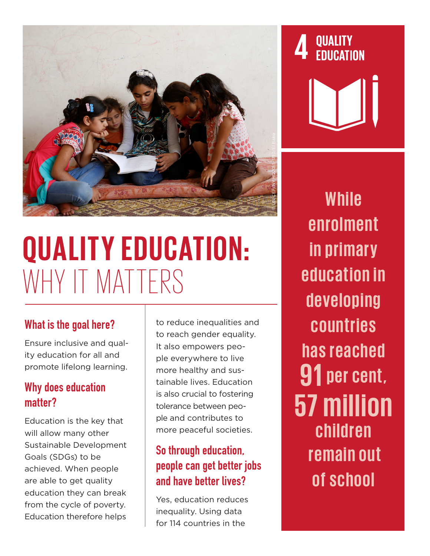

# **QUALITY EDUCATION:** WHY IT MATTERS

#### What is the goal here?

Ensure inclusive and quality education for all and promote lifelong learning.

#### Why does education matter?

Education is the key that will allow many other Sustainable Development Goals (SDGs) to be achieved. When people are able to get quality education they can break from the cycle of poverty. Education therefore helps

to reduce inequalities and to reach gender equality. It also empowers people everywhere to live more healthy and sustainable lives. Education is also crucial to fostering tolerance between people and contributes to more peaceful societies.

# So through education, people can get better jobs and have better lives?

Yes, education reduces inequality. Using data for 114 countries in the

**QUALITY<br>EDUCATION** 

**While e n r o l m e n t in primary education in d e v e l o p i n g c o u n t r i e s has reached 91 per cent, 57 million children remain out of school**